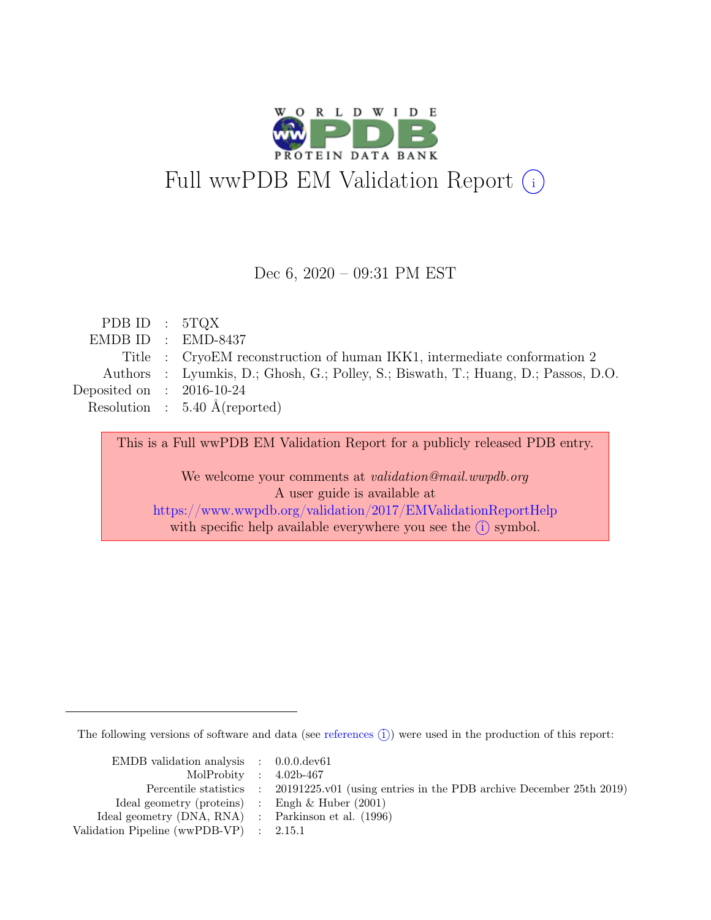

#### Dec 6, 2020 – 09:31 PM EST

| PDB ID : $5TQX$             |                                                                                    |
|-----------------------------|------------------------------------------------------------------------------------|
|                             | $EMDBID : EMD-8437$                                                                |
|                             | Title : CryoEM reconstruction of human IKK1, intermediate conformation 2           |
|                             | Authors : Lyumkis, D.; Ghosh, G.; Polley, S.; Biswath, T.; Huang, D.; Passos, D.O. |
| Deposited on : $2016-10-24$ |                                                                                    |
|                             | Resolution : $5.40 \text{ Å}$ (reported)                                           |
|                             |                                                                                    |

This is a Full wwPDB EM Validation Report for a publicly released PDB entry. We welcome your comments at *validation@mail.wwpdb.org* A user guide is available at <https://www.wwpdb.org/validation/2017/EMValidationReportHelp> with specific help available everywhere you see the  $(i)$  symbol.

The following versions of software and data (see [references](https://www.wwpdb.org/validation/2017/EMValidationReportHelp#references)  $(i)$ ) were used in the production of this report:

| EMDB validation analysis $\therefore$ 0.0.0.0 dev61 |                                                                                            |
|-----------------------------------------------------|--------------------------------------------------------------------------------------------|
| MolProbity : $4.02b-467$                            |                                                                                            |
|                                                     | Percentile statistics : 20191225.v01 (using entries in the PDB archive December 25th 2019) |
| Ideal geometry (proteins) : Engh $\&$ Huber (2001)  |                                                                                            |
| Ideal geometry (DNA, RNA) : Parkinson et al. (1996) |                                                                                            |
| Validation Pipeline (wwPDB-VP) : 2.15.1             |                                                                                            |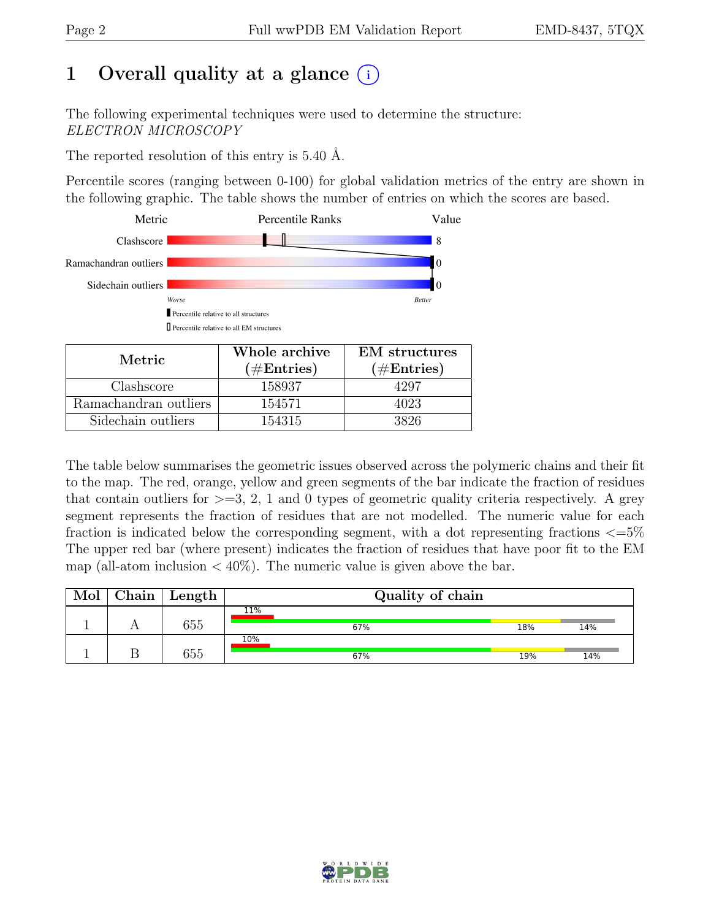# 1 Overall quality at a glance  $(i)$

The following experimental techniques were used to determine the structure: ELECTRON MICROSCOPY

The reported resolution of this entry is 5.40 Å.

Percentile scores (ranging between 0-100) for global validation metrics of the entry are shown in the following graphic. The table shows the number of entries on which the scores are based.



| Metric                | Whole archive | <b>EM</b> structures |
|-----------------------|---------------|----------------------|
|                       | $(\#Entries)$ | $(\#Entries)$        |
| Clashscore            | 158937        | 4297                 |
| Ramachandran outliers | 154571        | 4023                 |
| Sidechain outliers    | 154315        | 3826                 |

The table below summarises the geometric issues observed across the polymeric chains and their fit to the map. The red, orange, yellow and green segments of the bar indicate the fraction of residues that contain outliers for  $\geq$ =3, 2, 1 and 0 types of geometric quality criteria respectively. A grey segment represents the fraction of residues that are not modelled. The numeric value for each fraction is indicated below the corresponding segment, with a dot representing fractions  $\epsilon = 5\%$ The upper red bar (where present) indicates the fraction of residues that have poor fit to the EM map (all-atom inclusion  $\langle 40\% \rangle$ ). The numeric value is given above the bar.

| Chain | Length | Quality of chain |     |     |
|-------|--------|------------------|-----|-----|
|       | 655    | 11%<br>67%       | 18% | 14% |
|       | 655    | $10\%$<br>67%    | 19% | 14% |

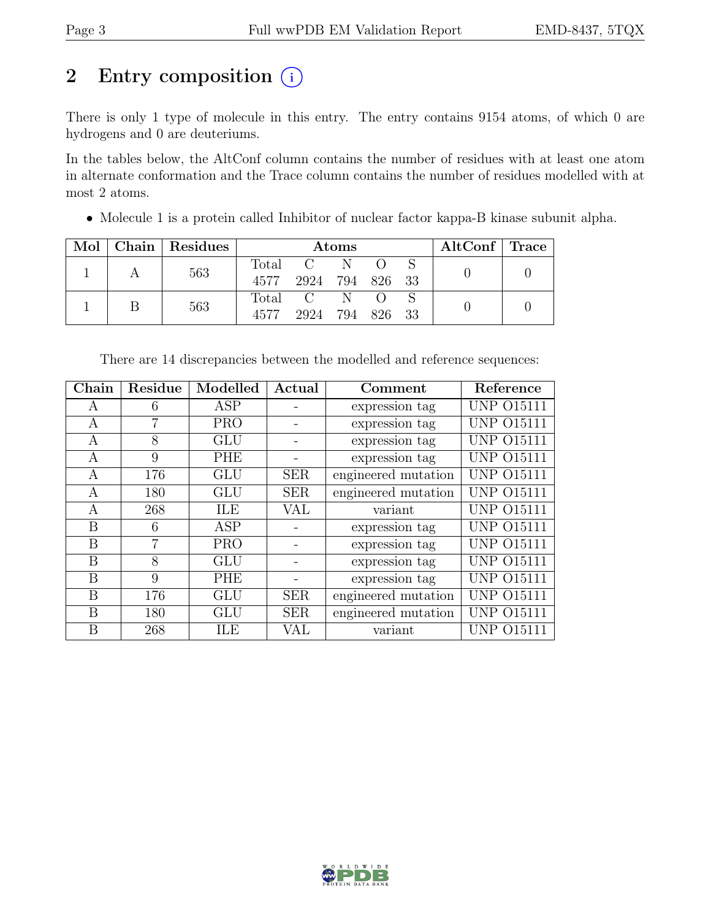# 2 Entry composition (i)

There is only 1 type of molecule in this entry. The entry contains 9154 atoms, of which 0 are hydrogens and 0 are deuteriums.

In the tables below, the AltConf column contains the number of residues with at least one atom in alternate conformation and the Trace column contains the number of residues modelled with at most 2 atoms.

• Molecule 1 is a protein called Inhibitor of nuclear factor kappa-B kinase subunit alpha.

| Mol | $\alpha$ Chain   Residues |      |                                       | <b>Atoms</b> |                          | $\mathrm{AltConf} \mid \mathrm{Trace}$ |  |
|-----|---------------------------|------|---------------------------------------|--------------|--------------------------|----------------------------------------|--|
|     | 563                       |      | Total C N O S<br>4577 2924 794 826 33 |              |                          |                                        |  |
|     | 563                       | 4577 | Total C N<br>2924                     |              | $\bigcirc$<br>794 826 33 |                                        |  |

| Chain | Residue | Modelled   | Actual     | Comment             | Reference         |
|-------|---------|------------|------------|---------------------|-------------------|
| A     | 6       | ASP        |            | expression tag      | <b>UNP 015111</b> |
| A     | 7       | <b>PRO</b> |            | expression tag      | <b>UNP 015111</b> |
| A     | 8       | GLU        |            | expression tag      | UNP 015111        |
| A     | 9       | PHE        |            | expression tag      | <b>UNP 015111</b> |
| A     | 176     | <b>GLU</b> | <b>SER</b> | engineered mutation | <b>UNP 015111</b> |
| A     | 180     | <b>GLU</b> | <b>SER</b> | engineered mutation | <b>UNP 015111</b> |
| А     | 268     | ILE        | VAL        | variant             | <b>UNP 015111</b> |
| B     | 6       | ASP        |            | expression tag      | <b>UNP 015111</b> |
| B     | 7       | <b>PRO</b> |            | expression tag      | <b>UNP 015111</b> |
| B     | 8       | <b>GLU</b> |            | expression tag      | <b>UNP 015111</b> |
| B     | 9       | <b>PHE</b> |            | expression tag      | <b>UNP 015111</b> |
| B     | 176     | <b>GLU</b> | <b>SER</b> | engineered mutation | <b>UNP 015111</b> |
| B     | 180     | GLU        | <b>SER</b> | engineered mutation | <b>UNP 015111</b> |
| B     | 268     | ILE        | VAL        | variant             | UNP 015111        |

There are 14 discrepancies between the modelled and reference sequences:

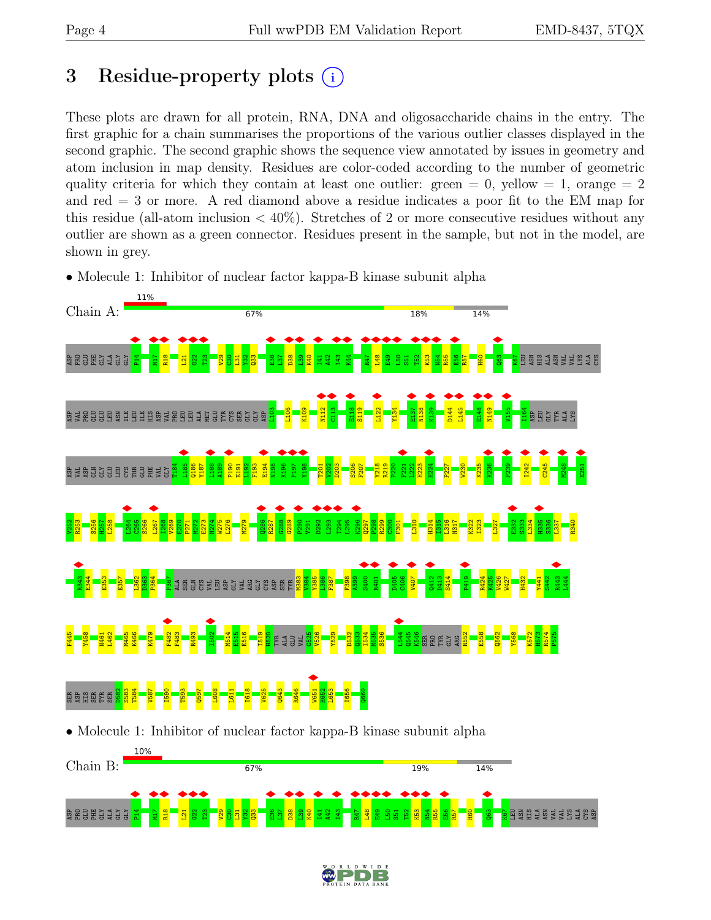# <span id="page-3-0"></span>3 Residue-property plots  $(i)$

These plots are drawn for all protein, RNA, DNA and oligosaccharide chains in the entry. The first graphic for a chain summarises the proportions of the various outlier classes displayed in the second graphic. The second graphic shows the sequence view annotated by issues in geometry and atom inclusion in map density. Residues are color-coded according to the number of geometric quality criteria for which they contain at least one outlier: green  $= 0$ , yellow  $= 1$ , orange  $= 2$ and red = 3 or more. A red diamond above a residue indicates a poor fit to the EM map for this residue (all-atom inclusion  $\langle 40\% \rangle$ ). Stretches of 2 or more consecutive residues without any outlier are shown as a green connector. Residues present in the sample, but not in the model, are shown in grey.

• Molecule 1: Inhibitor of nuclear factor kappa-B kinase subunit alpha



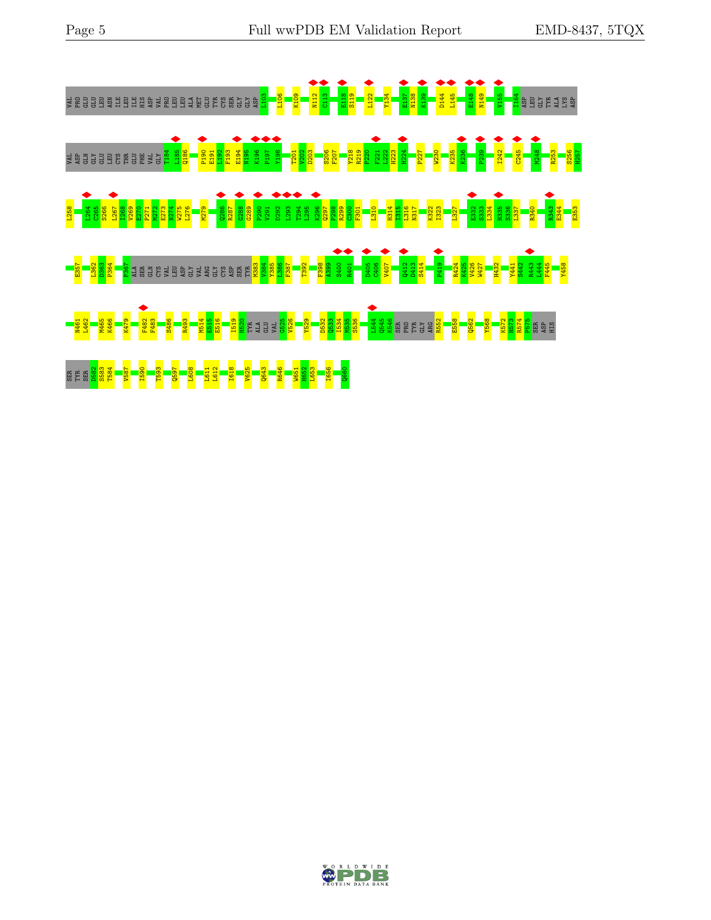

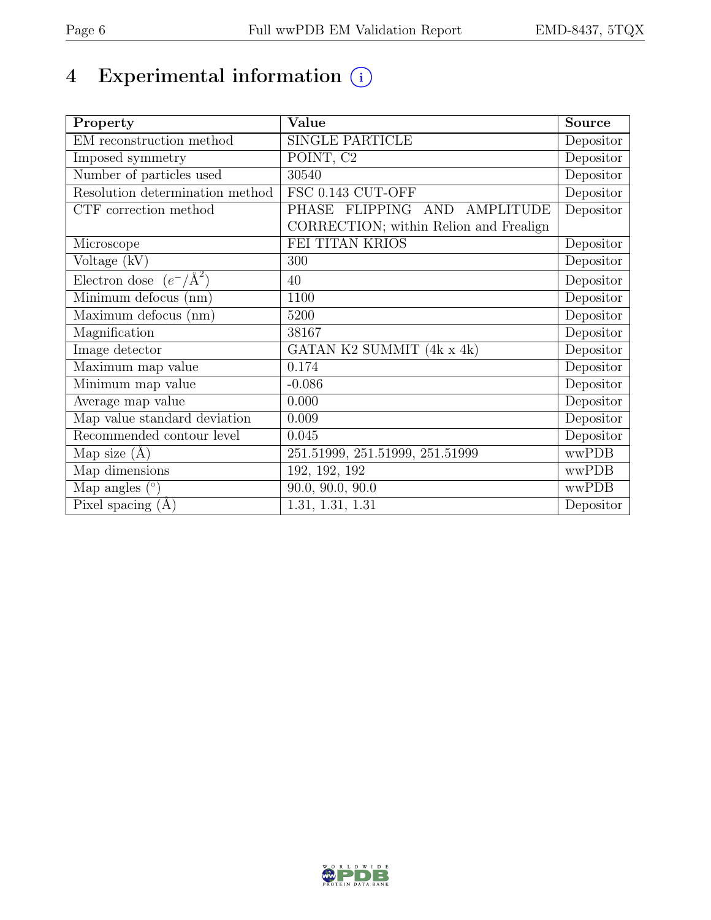# 4 Experimental information  $\bigcirc$

| Property                           | Value                                  | <b>Source</b> |
|------------------------------------|----------------------------------------|---------------|
| EM reconstruction method           | <b>SINGLE PARTICLE</b>                 | Depositor     |
| Imposed symmetry                   | POINT, C <sub>2</sub>                  | Depositor     |
| Number of particles used           | 30540                                  | Depositor     |
| Resolution determination method    | FSC 0.143 CUT-OFF                      | Depositor     |
| CTF correction method              | PHASE FLIPPING AND<br>AMPLITUDE        | Depositor     |
|                                    | CORRECTION; within Relion and Frealign |               |
| Microscope                         | FEI TITAN KRIOS                        | Depositor     |
| Voltage (kV)                       | 300                                    | Depositor     |
| Electron dose $(e^-/\text{\AA}^2)$ | 40                                     | Depositor     |
| Minimum defocus (nm)               | 1100                                   | Depositor     |
| Maximum defocus (nm)               | 5200                                   | Depositor     |
| Magnification                      | 38167                                  | Depositor     |
| Image detector                     | GATAN K2 SUMMIT (4k x 4k)              | Depositor     |
| Maximum map value                  | 0.174                                  | Depositor     |
| Minimum map value                  | $-0.086$                               | Depositor     |
| Average map value                  | 0.000                                  | Depositor     |
| Map value standard deviation       | 0.009                                  | Depositor     |
| Recommended contour level          | 0.045                                  | Depositor     |
| Map size $(A)$                     | 251.51999, 251.51999, 251.51999        | wwPDB         |
| Map dimensions                     | 192, 192, 192                          | wwPDB         |
| Map angles $(°)$                   | 90.0, 90.0, 90.0                       | wwPDB         |
| Pixel spacing $(A)$                | 1.31, 1.31, 1.31                       | Depositor     |

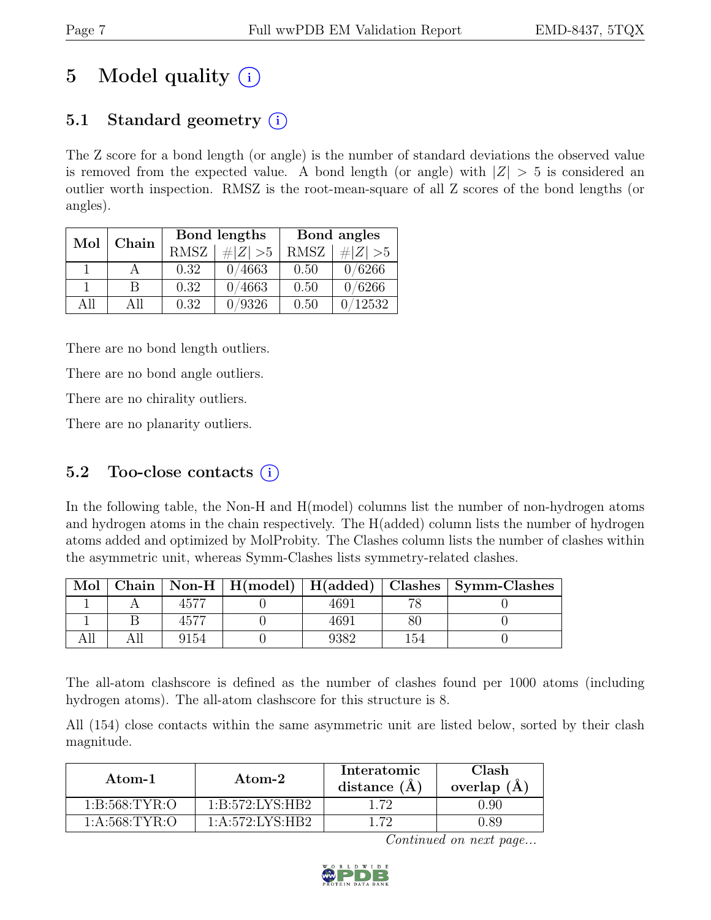# 5 Model quality  $(i)$

# 5.1 Standard geometry  $(i)$

The Z score for a bond length (or angle) is the number of standard deviations the observed value is removed from the expected value. A bond length (or angle) with  $|Z| > 5$  is considered an outlier worth inspection. RMSZ is the root-mean-square of all Z scores of the bond lengths (or angles).

| Mol | Chain |             | Bond lengths | Bond angles |             |
|-----|-------|-------------|--------------|-------------|-------------|
|     |       | <b>RMSZ</b> | $\# Z  > 5$  | RMSZ        | # $ Z  > 5$ |
|     |       | 0.32        | 0/4663       | 0.50        | 0/6266      |
|     | В     | 0.32        | 0/4663       | 0.50        | 0/6266      |
| All | All   | 0.32        | /9326        | 0.50        | 12532       |

There are no bond length outliers.

There are no bond angle outliers.

There are no chirality outliers.

There are no planarity outliers.

### 5.2 Too-close contacts  $(i)$

In the following table, the Non-H and H(model) columns list the number of non-hydrogen atoms and hydrogen atoms in the chain respectively. The H(added) column lists the number of hydrogen atoms added and optimized by MolProbity. The Clashes column lists the number of clashes within the asymmetric unit, whereas Symm-Clashes lists symmetry-related clashes.

| Mol |      | Chain   Non-H   $H (model)$   $H (added)$ |      |     | Clashes   Symm-Clashes |
|-----|------|-------------------------------------------|------|-----|------------------------|
|     |      |                                           | 4691 |     |                        |
|     |      |                                           | 4691 |     |                        |
|     | 9154 |                                           | 2382 | 154 |                        |

The all-atom clashscore is defined as the number of clashes found per 1000 atoms (including hydrogen atoms). The all-atom clashscore for this structure is 8.

All (154) close contacts within the same asymmetric unit are listed below, sorted by their clash magnitude.

| Atom-1           | Atom-2              | Interatomic<br>distance $(A)$ | Clash<br>overlap $(A)$ |  |
|------------------|---------------------|-------------------------------|------------------------|--|
| 1: B:568: TYR:O  | 1: B: 572: LYS: HB2 | - 79                          | ) 90                   |  |
| 1: A:568: TYR: O | 1: A:572: LYS:HB2   | - 79                          |                        |  |

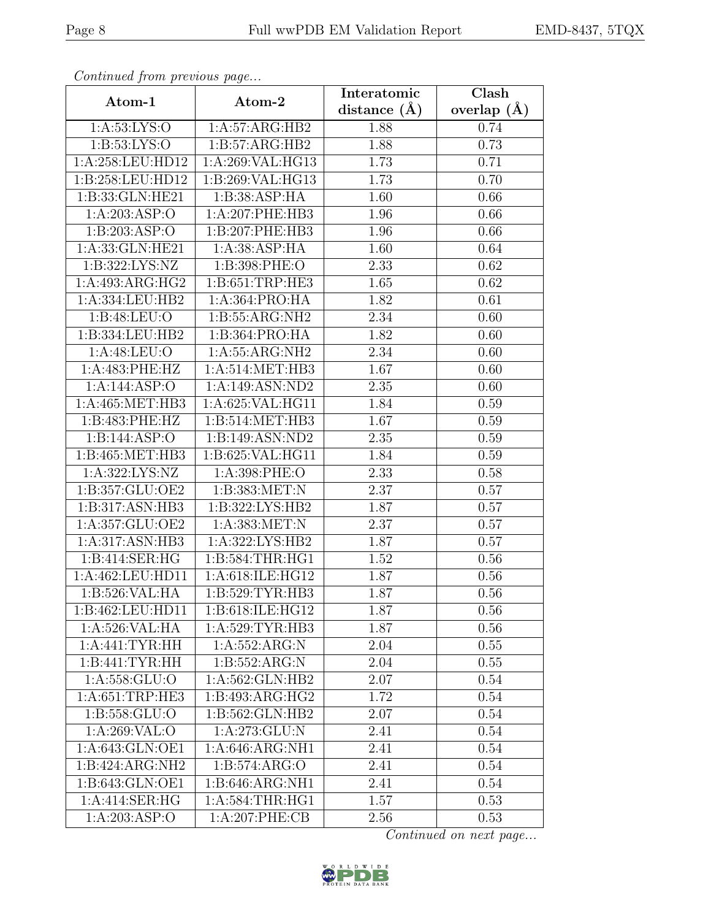| EMD-8437, 5TQX |  |  |  |
|----------------|--|--|--|
|----------------|--|--|--|

| Continueu from pretious page |                     | Interatomic       | Clash         |
|------------------------------|---------------------|-------------------|---------------|
| Atom-1                       | Atom-2              | distance $(\AA)$  | overlap $(A)$ |
| 1: A:53: LYS:O               | 1:A:57:ARG:HB2      | 1.88              | 0.74          |
| 1: B: 53: LYS: O             | 1: B:57: ARG: HB2   | 1.88              | 0.73          |
| 1:A:258:LEU:HD12             | 1:A:269:VAL:HG13    | 1.73              | 0.71          |
| 1:B:258:LEU:HD12             | 1:B:269:VAL:HG13    | 1.73              | 0.70          |
| 1:B:33:GLN:HE21              | 1:B:38:ASP:HA       | 1.60              | 0.66          |
| 1:A:203:ASP:O                | 1:A:207:PHE:HB3     | 1.96              | 0.66          |
| 1:B:203:ASP:O                | 1:B:207:PHE:HB3     | $\overline{1.96}$ | 0.66          |
| 1:A:33:GLN:HE21              | 1: A: 38: ASP: HA   | 1.60              | 0.64          |
| 1:B:322:LYS:NZ               | 1:B:398:PHE:O       | 2.33              | 0.62          |
| 1:A:493:ARG:HG2              | 1: B:651:TRP:HE3    | 1.65              | 0.62          |
| 1:A:334:LEU:HB2              | 1:A:364:PRO:HA      | 1.82              | 0.61          |
| 1:B:48:LEU:O                 | 1: B: 55: ARG: NH2  | 2.34              | 0.60          |
| 1:B:334:LEU:HB2              | 1:B:364:PRO:HA      | 1.82              | 0.60          |
| 1:A:48:LEU:O                 | 1:A:55:ARG:NH2      | 2.34              | 0.60          |
| 1:A:483:PHE:HZ               | 1:A:514:MET:HB3     | 1.67              | 0.60          |
| 1:A:144:ASP:O                | 1:A:149:ASN:ND2     | 2.35              | 0.60          |
| 1:A:465:MET:HB3              | 1:A:625:VAL:HG11    | 1.84              | 0.59          |
| 1:B:483:PHE:HZ               | 1:B:514:MET:HB3     | 1.67              | 0.59          |
| 1:B:144:ASP:O                | 1:B:149:ASN:ND2     | 2.35              | 0.59          |
| $1:$ B:465:MET:HB3           | 1:B:625:VAL:HG11    | 1.84              | 0.59          |
| 1:A:322:LYS:NZ               | 1:A:398:PHE:O       | 2.33              | 0.58          |
| 1:B:357:GLU:OE2              | 1:B:383:MET:N       | 2.37              | 0.57          |
| $1:B:317:ASN:H\overline{B3}$ | 1: B: 322: LYS: HB2 | 1.87              | 0.57          |
| 1:A:357:GLU:OE2              | 1:A:383:MET:N       | 2.37              | 0.57          |
| 1:A:317:ASN:HB3              | 1:A:322:LYS:HB2     | 1.87              | 0.57          |
| 1:B:414:SER:HG               | 1:B:584:THR:HG1     | 1.52              | 0.56          |
| 1:A:462:LEU:HD11             | 1:A:618:ILE:HG12    | 1.87              | 0.56          |
| 1:B:526:VAL:HA               | 1:B:529:TYR:HB3     | 1.87              | 0.56          |
| 1:B:462:LEU:HD11             | 1:B:618:ILE:HG12    | 1.87              | 0.56          |
| 1:A:526:VAL:HA               | 1:A:529:TYR:HB3     | 1.87              | 0.56          |
| 1:A:441:TYR:HH               | 1:A:552:ARG:N       | 2.04              | 0.55          |
| 1:B:441:TYR:HH               | 1:B:552:ARG:N       | 2.04              | $0.55\,$      |
| 1:A:558:GLU:O                | 1:A:562:GLN:HB2     | 2.07              | 0.54          |
| 1: A:651:TRP:HE3             | 1:B:493:ARG:HG2     | 1.72              | 0.54          |
| 1:B:558:GLU:O                | 1:B:562:GLN:HB2     | 2.07              | 0.54          |
| 1:A:269:VAL:O                | 1:A:273:GLU:N       | 2.41              | 0.54          |
| 1: A:643: GLN: OE1           | 1:A:646:ARG:NH1     | 2.41              | 0.54          |
| $1:B:424:ARG:\overline{NH2}$ | 1: B: 574: ARG: O   | 2.41              | 0.54          |
| 1:B:643:GLN:OE1              | 1: B:646: ARG: NH1  | 2.41              | 0.54          |
| 1:A:414:SER:HG               | 1: A:584:THR:HG1    | 1.57              | 0.53          |
| 1: A:203: ASP:O              | 1:A:207:PHE:CB      | 2.56              | 0.53          |

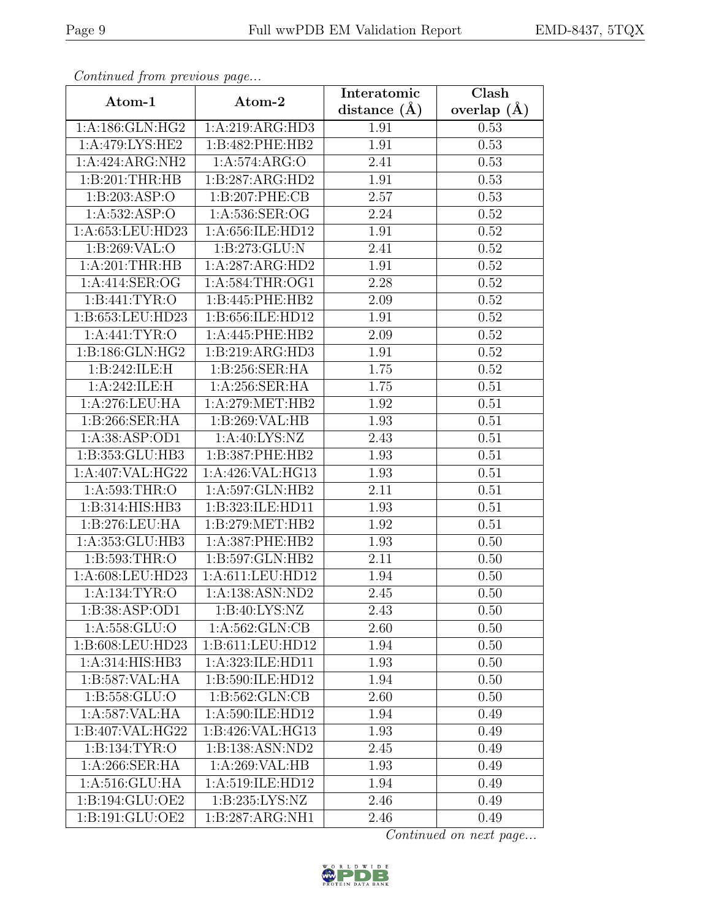| Continuea from previous page |                    | Interatomic    | Clash         |  |
|------------------------------|--------------------|----------------|---------------|--|
| Atom-1                       | Atom-2             | distance $(A)$ | overlap $(A)$ |  |
| 1:A:186:GLN:HG2              | 1:A:219:ARG:HD3    | 1.91           | 0.53          |  |
| 1: A:479: LYS: HE2           | 1:B:482:PHE:HB2    | 1.91           | 0.53          |  |
| 1:A:424:ARG:NH2              | 1: A:574: ARG:O    | 2.41           | 0.53          |  |
| 1:B:201:THR:HB               | 1:B:287:ARG:HD2    | 1.91           | 0.53          |  |
| 1:B:203:ASP:O                | 1:B:207:PHE:CB     | 2.57           | 0.53          |  |
| 1:A:532:ASP:O                | 1:A:536:SER:OG     | 2.24           | 0.52          |  |
| 1:A:653:LEU:HD23             | 1:A:656:ILE:HD12   | 1.91           | 0.52          |  |
| 1:B:269:VAL:O                | 1:B:273:GLU:N      | 2.41           | 0.52          |  |
| 1: A:201:THR:HB              | 1:A:287:ARG:HD2    | 1.91           | 0.52          |  |
| 1:A:414:SER:OG               | 1:A:584:THR:OG1    | 2.28           | 0.52          |  |
| 1:B:441:TYR:O                | 1:B:445:PHE:HB2    | 2.09           | 0.52          |  |
| 1:B:653:LEU:HD23             | 1:B:656:ILE:HD12   | 1.91           | 0.52          |  |
| 1: A:441: TYR:O              | 1:A:445:PHE:HB2    | 2.09           | 0.52          |  |
| 1:B:186:GLN:HG2              | 1:B:219:ARG:HD3    | 1.91           | 0.52          |  |
| 1:B:242:ILE:H                | 1:B:256:SER:HA     | 1.75           | 0.52          |  |
| 1:A:242:ILE:H                | 1:A:256:SER:HA     | 1.75           | 0.51          |  |
| 1:A:276:LEU:HA               | 1: A:279:MET:HB2   | 1.92           | 0.51          |  |
| 1: B:266: SER: HA            | 1:B:269:VAL:HB     | 1.93           | 0.51          |  |
| 1:A:38:ASP:OD1               | 1: A:40: LYS: NZ   | 2.43           | 0.51          |  |
| 1:B:353:GLU:HB3              | 1:B:387:PHE:HB2    | 1.93           | 0.51          |  |
| 1:A:407:VAL:HG22             | 1:A:426:VAL:HG13   | 1.93           | 0.51          |  |
| 1:A:593:THR:O                | 1:A:597:GLN:HB2    | 2.11           | 0.51          |  |
| 1:B:314:HIS:HB3              | 1:B:323:ILE:HD11   | 1.93           | 0.51          |  |
| 1:B:276:LEU:HA               | 1:B:279:MET:HB2    | 1.92           | 0.51          |  |
| 1:A:353:GLU:HB3              | 1:A:387:PHE:HB2    | 1.93           | 0.50          |  |
| 1:B:593:THR:O                | 1:B:597:GLN:HB2    | 2.11           | 0.50          |  |
| 1:A:608:LEU:HD23             | 1:A:611:LEU:HD12   | 1.94           | 0.50          |  |
| 1:A:134:TYR:O                | 1:A:138:ASN:ND2    | 2.45           | 0.50          |  |
| 1:B:38:ASP:OD1               | 1: B:40: LYS: NZ   | 2.43           | 0.50          |  |
| 1: A: 558: GLU:O             | 1: A: 562: GLN: CB | 2.60           | 0.50          |  |
| 1:B:608:LEU:HD23             | 1:B:611:LEU:HD12   | 1.94           | 0.50          |  |
| 1:A:314:HIS:HB3              | 1:A:323:ILE:HD11   | 1.93           | 0.50          |  |
| 1:B:587:VAL:HA               | 1:B:590:ILE:HD12   | 1.94           | 0.50          |  |
| 1: B: 558: GLU:O             | 1: B: 562: GLN: CB | 2.60           | 0.50          |  |
| 1:A:587:VAL:HA               | 1:A:590:ILE:HD12   | 1.94           | 0.49          |  |
| 1:B:407:VAL:HG22             | 1:B:426:VAL:HG13   | 1.93           | 0.49          |  |
| 1:B:134:TYR:O                | 1:B:138:ASN:ND2    | 2.45           | 0.49          |  |
| 1:A:266:SER:HA               | 1:A:269:VAL:HB     | 1.93           | 0.49          |  |
| 1: A:516: GLU: HA            | 1:A:519:ILE:HD12   | 1.94           | 0.49          |  |
| $1:B:194:GL\overline{U:OE2}$ | 1:B:235:LYS:NZ     | 2.46           | 0.49          |  |
| 1:B:191:GLU:OE2              | 1:B:287:ARG:NH1    | 2.46           | 0.49          |  |

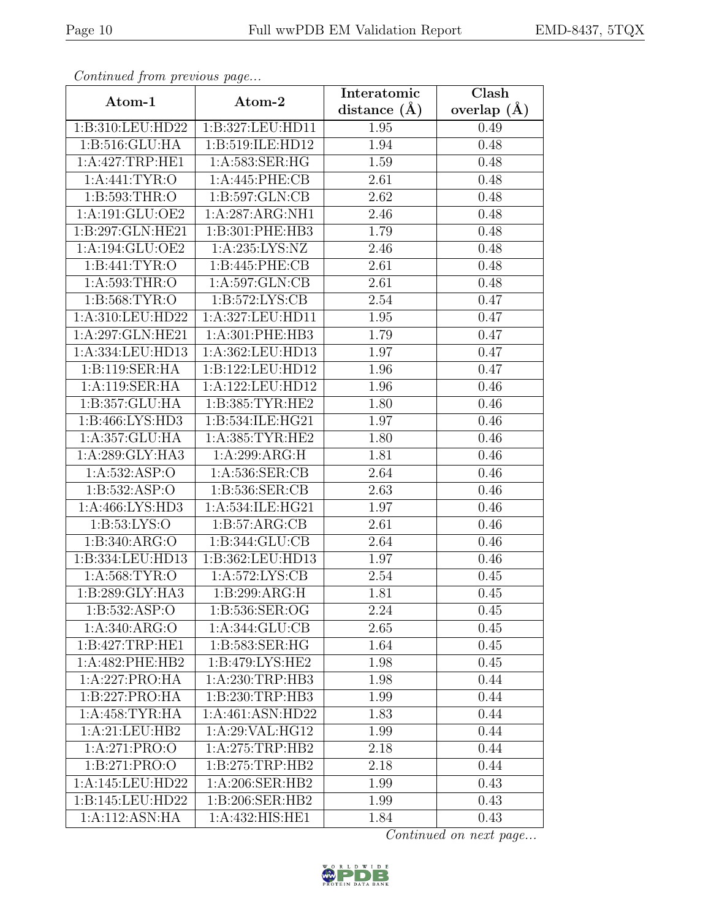| Continuea from previous page |                     | Interatomic    | Clash           |  |
|------------------------------|---------------------|----------------|-----------------|--|
| Atom-1                       | Atom-2              | distance $(A)$ | overlap $(\AA)$ |  |
| 1:B:310:LEU:HD22             | 1:B:327:LEU:HD11    | 1.95           | 0.49            |  |
| 1: B:516: GLU: HA            | 1:B:519:ILE:HD12    | 1.94           | 0.48            |  |
| 1:A:427:TRP:HE1              | 1:A:583:SER:HG      | 1.59           | 0.48            |  |
| 1: A:441: TYR:O              | 1:A:445:PHE:CB      | 2.61           | 0.48            |  |
| 1: B: 593: THR:O             | 1: B: 597: GLN: CB  | 2.62           | 0.48            |  |
| 1:A:191:GLU:OE2              | 1:A:287:ARG:NH1     | 2.46           | 0.48            |  |
| 1:B:297:GLN:HE21             | 1:B:301:PHE:HB3     | 1.79           | 0.48            |  |
| 1:A:194:GLU:OE2              | 1:A:235:LYS:NZ      | 2.46           | 0.48            |  |
| 1:B:441:TYR:O                | 1:B:445:PHE:CB      | 2.61           | 0.48            |  |
| 1:A:593:THR:O                | 1:A:597:GLN:CB      | 2.61           | 0.48            |  |
| 1: B: 568: TYR: O            | 1: B: 572: LYS: CB  | 2.54           | 0.47            |  |
| 1:A:310:LEU:HD22             | 1:A:327:LEU:HD11    | 1.95           | 0.47            |  |
| 1:A:297:GLN:HE21             | 1: A:301: PHE:HB3   | 1.79           | 0.47            |  |
| 1:A:334:LEU:HD13             | 1:A:362:LEU:HD13    | 1.97           | 0.47            |  |
| 1:B:119:SER:HA               | 1:B:122:LEU:HD12    | 1.96           | 0.47            |  |
| 1:A:119:SER:HA               | 1:A:122:LEU:HD12    | 1.96           | 0.46            |  |
| 1:B:357:GLU:HA               | 1: B: 385: TYR: HE2 | 1.80           | 0.46            |  |
| 1: B: 466: LYS: HD3          | 1:B:534:ILE:HG21    | 1.97           | 0.46            |  |
| 1: A: 357: GLU: HA           | 1: A: 385: TYR: HE2 | 1.80           | 0.46            |  |
| 1:A:289:GLY:HA3              | 1:A:299:ARG:H       | 1.81           | 0.46            |  |
| 1: A: 532: ASP:O             | 1:A:536:SER:CB      | 2.64           | 0.46            |  |
| 1:B:532:ASP:O                | 1:B:536:SER:CB      | 2.63           | 0.46            |  |
| 1:A:466:LYS:HD3              | 1:A:534:ILE:HG21    | 1.97           | 0.46            |  |
| 1:B:53:LYS:O                 | 1: B:57: ARG:CB     | 2.61           | 0.46            |  |
| 1:B:340:ARG:O                | 1:B:344:GLU:CB      | 2.64           | 0.46            |  |
| 1:B:334:LEU:HD13             | 1:B:362:LEU:HD13    | 1.97           | 0.46            |  |
| 1: A:568:TYR:O               | 1:A:572:LYS:CB      | 2.54           | 0.45            |  |
| 1:B:289:GLY:HA3              | 1:B:299:ARG:H       | 1.81           | 0.45            |  |
| 1:B:532:ASP:O                | 1:B:536:SER:OG      | 2.24           | 0.45            |  |
| 1: A:340: ARG:O              | 1:A:344:GLU:CB      | 2.65           | 0.45            |  |
| 1:B:427:TRP:HE1              | 1:B:583:SER:HG      | 1.64           | 0.45            |  |
| 1:A:482:PHE:HB2              | 1: B:479: LYS: HE2  | 1.98           | 0.45            |  |
| 1:A:227:PRO:HA               | 1:A:230:TRP:HB3     | 1.98           | 0.44            |  |
| 1:B:227:PRO:HA               | 1: B:230:TRP:HB3    | 1.99           | 0.44            |  |
| 1: A:458: TYR: HA            | 1:A:461:ASN:HD22    | 1.83           | 0.44            |  |
| 1:A:21:LEU:HB2               | 1:A:29:VAL:HG12     | 1.99           | 0.44            |  |
| 1:A:271:PRO:O                | 1:A:275:TRP:HB2     | 2.18           | 0.44            |  |
| 1:B:271:PRO:O                | 1: B: 275: TRP: HB2 | 2.18           | 0.44            |  |
| 1:A:145:LEU:HD22             | 1: A:206: SER: HB2  | 1.99           | 0.43            |  |
| 1:B:145:LEU:HD22             | 1:B:206:SER:HB2     | 1.99           | 0.43            |  |
| 1:A:112:ASN:HA               | 1:A:432:HIS:HE1     | 1.84           | 0.43            |  |

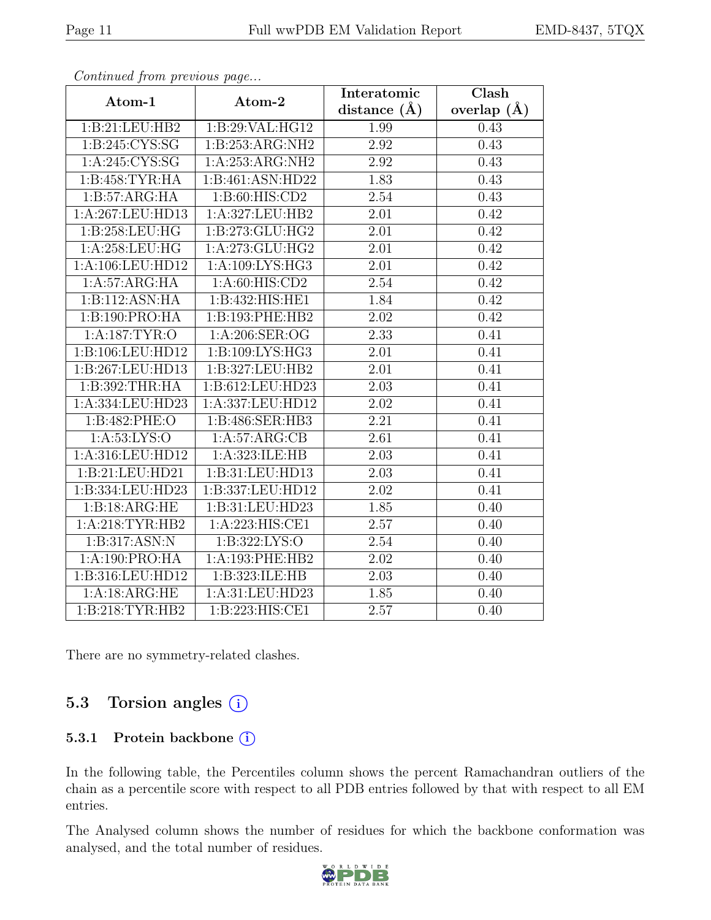| EMD-8437, 5TQX |  |
|----------------|--|
|                |  |

| Continua from previous page   |                    | Interatomic       | $\overline{\text{Clash}}$ |  |
|-------------------------------|--------------------|-------------------|---------------------------|--|
| Atom-1                        | Atom-2             | distance $(A)$    | overlap $(\AA)$           |  |
| 1:B:21:LEU:HB2                | 1: B:29: VAL: HG12 | 1.99              | 0.43                      |  |
| 1:B:245:CYS:SG                | 1:B:253:ARG:NH2    | 2.92              | 0.43                      |  |
| 1:A:245:CYS:SG                | 1:A:253:ARG:NH2    | 2.92              | 0.43                      |  |
| 1:B:458:TYR:HA                | 1:B:461:ASN:HD22   | 1.83              | 0.43                      |  |
| 1:B:57:ARG:HA                 | 1:B:60:HIS:CD2     | 2.54              | 0.43                      |  |
| 1:A:267:LEU:HD13              | 1:A:327:LEU:HB2    | 2.01              | 0.42                      |  |
| 1:B:258:LEU:HG                | 1:B:273:GLU:HG2    | 2.01              | 0.42                      |  |
| $1: A:258:LEU: \overline{HG}$ | 1:A:273:GLU:HG2    | 2.01              | 0.42                      |  |
| 1:A:106:LEU:HD12              | 1: A:109: LYS: HG3 | $\overline{2.01}$ | 0.42                      |  |
| 1:A:57:ARG:HA                 | 1: A:60: HIS:CD2   | 2.54              | 0.42                      |  |
| 1:B:112:ASN:HA                | 1:B:432:HIS:HE1    | 1.84              | 0.42                      |  |
| 1:B:190:PRO:HA                | 1:B:193:PHE:HB2    | 2.02              | 0.42                      |  |
| 1:A:187:TYR:O                 | 1:A:206:SER:OG     | 2.33              | 0.41                      |  |
| 1:B:106:LEU:HD12              | 1:B:109:LYS:HG3    | $\overline{2.01}$ | 0.41                      |  |
| 1:B:267:LEU:HD13              | 1:B:327:LEU:HB2    | 2.01              | 0.41                      |  |
| 1:B:392:THR:HA                | 1:B:612:LEU:HD23   | 2.03              | 0.41                      |  |
| 1:A:334:LEU:HD23              | 1:A:337:LEU:HD12   | 2.02              | 0.41                      |  |
| 1:B:482:PHE:O                 | 1:B:486:SER:HB3    | 2.21              | 0.41                      |  |
| 1: A:53: LYS:O                | 1:A:57:ARG:CB      | $\overline{2.61}$ | 0.41                      |  |
| 1:A:316:LEU:HD12              | 1: A:323: ILE: HB  | 2.03              | 0.41                      |  |
| 1:B:21:LEU:HD21               | 1:B:31:LEU:HD13    | 2.03              | 0.41                      |  |
| 1:B:334:LEU:HD23              | 1:B:337:LEU:HD12   | 2.02              | 0.41                      |  |
| 1:B:18:ARG:HE                 | 1:B:31:LEU:HD23    | 1.85              | 0.40                      |  |
| 1:A:218:TYR:HB2               | 1:A:223:HIS:CE1    | 2.57              | 0.40                      |  |
| 1:B:317:ASN:N                 | 1:B:322:LYS:O      | 2.54              | 0.40                      |  |
| 1:A:190:PRO:HA                | 1:A:193:PHE:HB2    | 2.02              | 0.40                      |  |
| 1:B:316:LEU:HD12              | 1:B:323:ILE:HB     | 2.03              | 0.40                      |  |
| 1:A:18:ARG:HE                 | 1:A:31:LEU:HD23    | 1.85              | 0.40                      |  |
| 1:B:218:TYR:HB2               | 1:B:223:HIS:CE1    | 2.57              | 0.40                      |  |

There are no symmetry-related clashes.

#### 5.3 Torsion angles (i)

#### 5.3.1 Protein backbone (i)

In the following table, the Percentiles column shows the percent Ramachandran outliers of the chain as a percentile score with respect to all PDB entries followed by that with respect to all EM entries.

The Analysed column shows the number of residues for which the backbone conformation was analysed, and the total number of residues.

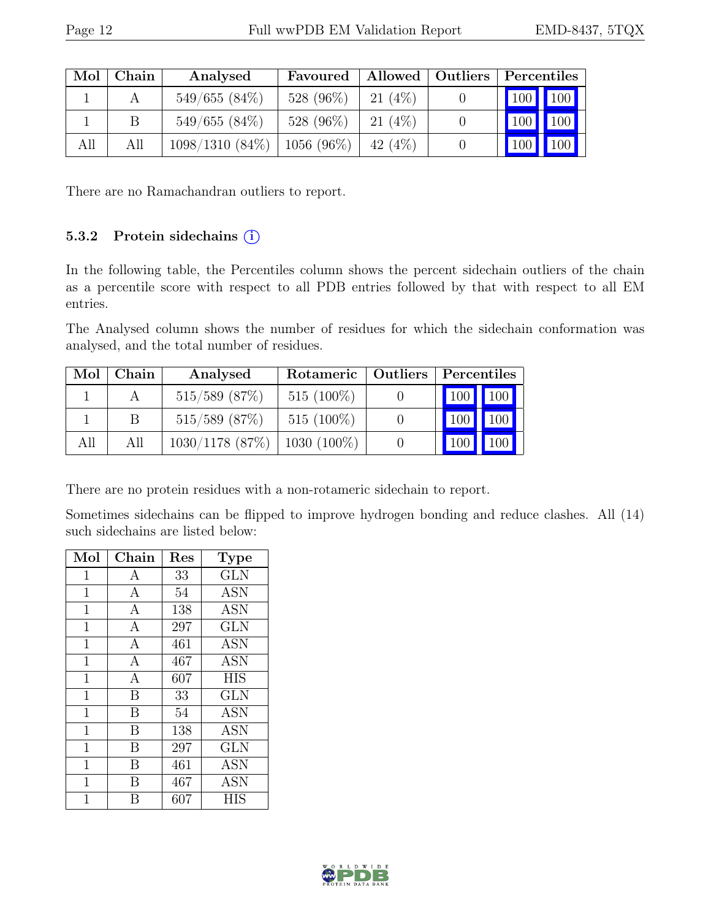| Mol | Chain | Analysed                         | Favoured  | Allowed   Outliers | Percentiles |         |
|-----|-------|----------------------------------|-----------|--------------------|-------------|---------|
|     |       | $549/655(84\%)$                  | 528 (96%) | 21 $(4%)$          | 100 100     |         |
|     |       | $549/655(84\%)$                  | 528 (96%) | 21 $(4%)$          |             | 100 100 |
| All | All   | $1098/1310$ (84\%)   1056 (96\%) |           | 42 (4\%)           |             | 100 100 |

There are no Ramachandran outliers to report.

#### 5.3.2 Protein sidechains  $(i)$

In the following table, the Percentiles column shows the percent sidechain outliers of the chain as a percentile score with respect to all PDB entries followed by that with respect to all EM entries.

The Analysed column shows the number of residues for which the sidechain conformation was analysed, and the total number of residues.

| Mol | Chain | Analysed                        | Rotameric    | Outliers | Percentiles         |             |
|-----|-------|---------------------------------|--------------|----------|---------------------|-------------|
|     |       | $515/589$ (87%)                 | $515(100\%)$ |          | 100 100             |             |
|     |       | $515/589$ (87%)                 | $515(100\%)$ |          | $\vert$ 100 $\vert$ | $\vert$ 100 |
| All | All   | $1030/1178$ (87%)   1030 (100%) |              |          |                     | 100         |

There are no protein residues with a non-rotameric sidechain to report.

Sometimes sidechains can be flipped to improve hydrogen bonding and reduce clashes. All (14) such sidechains are listed below:

| Mol            | Chain            | Res | <b>Type</b> |
|----------------|------------------|-----|-------------|
| $\mathbf{1}$   | A                | 33  | <b>GLN</b>  |
| $\mathbf 1$    | A                | 54  | <b>ASN</b>  |
| 1              | $\mathbf{A}$     | 138 | <b>ASN</b>  |
| $\mathbf 1$    | A                | 297 | GLN         |
| 1              | $\boldsymbol{A}$ | 461 | <b>ASN</b>  |
| $\mathbf 1$    | $\mathbf{A}$     | 467 | <b>ASN</b>  |
| 1              | $\boldsymbol{A}$ | 607 | <b>HIS</b>  |
| $\mathbf 1$    | B                | 33  | <b>GLN</b>  |
| $\mathbf{1}$   | B                | 54  | <b>ASN</b>  |
| $\mathbf 1$    | B                | 138 | <b>ASN</b>  |
| $\mathbf{1}$   | B                | 297 | <b>GLN</b>  |
| $\mathbf 1$    | B                | 461 | <b>ASN</b>  |
| $\overline{1}$ | В                | 467 | <b>ASN</b>  |
| 1              | R                | 607 | HIS         |

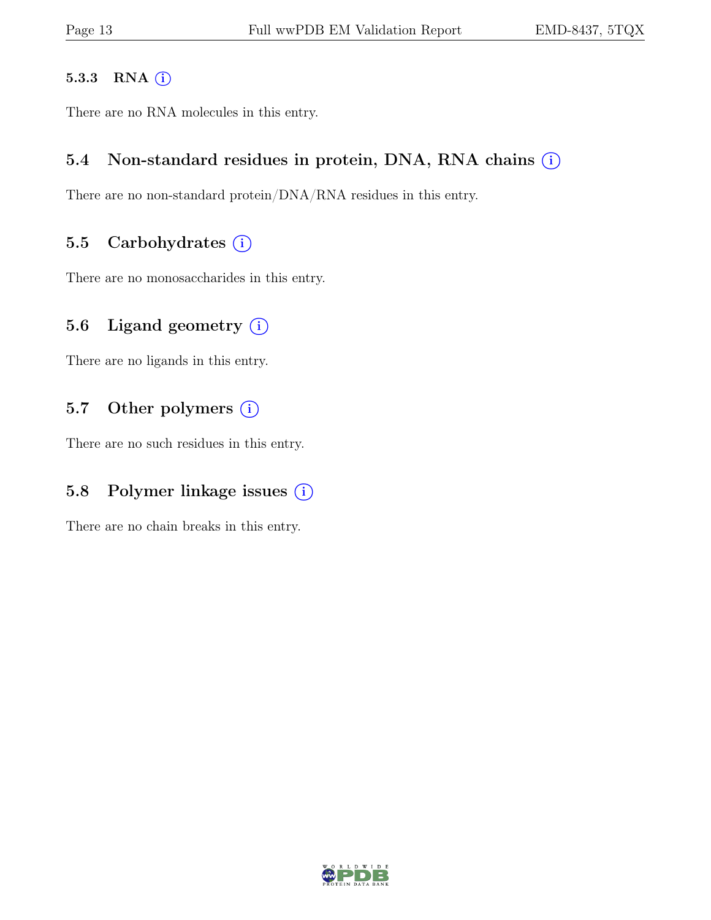#### 5.3.3 RNA  $(i)$

There are no RNA molecules in this entry.

#### 5.4 Non-standard residues in protein, DNA, RNA chains  $(i)$

There are no non-standard protein/DNA/RNA residues in this entry.

#### 5.5 Carbohydrates  $(i)$

There are no monosaccharides in this entry.

#### 5.6 Ligand geometry  $(i)$

There are no ligands in this entry.

#### 5.7 Other polymers  $(i)$

There are no such residues in this entry.

#### 5.8 Polymer linkage issues  $(i)$

There are no chain breaks in this entry.

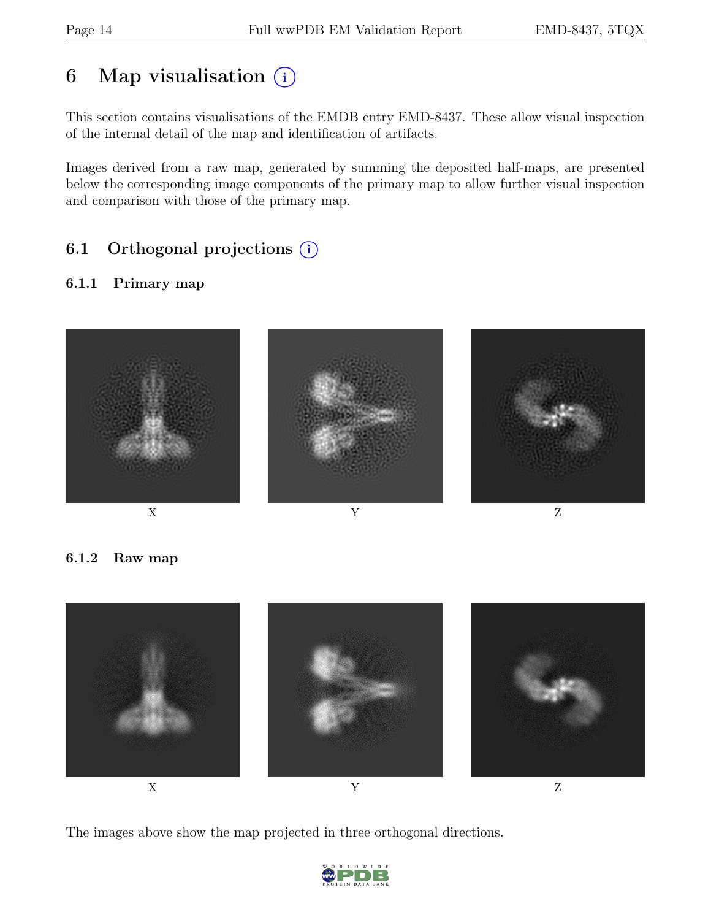# 6 Map visualisation  $(i)$

This section contains visualisations of the EMDB entry EMD-8437. These allow visual inspection of the internal detail of the map and identification of artifacts.

Images derived from a raw map, generated by summing the deposited half-maps, are presented below the corresponding image components of the primary map to allow further visual inspection and comparison with those of the primary map.

## 6.1 Orthogonal projections (i)

#### 6.1.1 Primary map



6.1.2 Raw map



The images above show the map projected in three orthogonal directions.

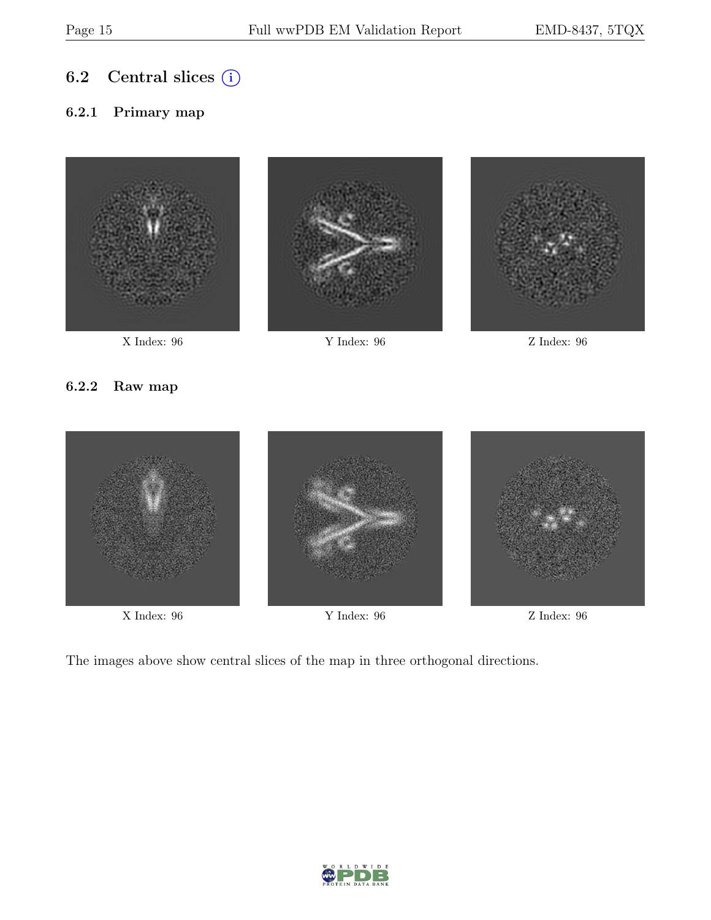### 6.2 Central slices  $(i)$

#### 6.2.1 Primary map





X Index: 96 Y Index: 96 Z Index: 96



#### 6.2.2 Raw map



X Index: 96 Y Index: 96 Z Index: 96



The images above show central slices of the map in three orthogonal directions.

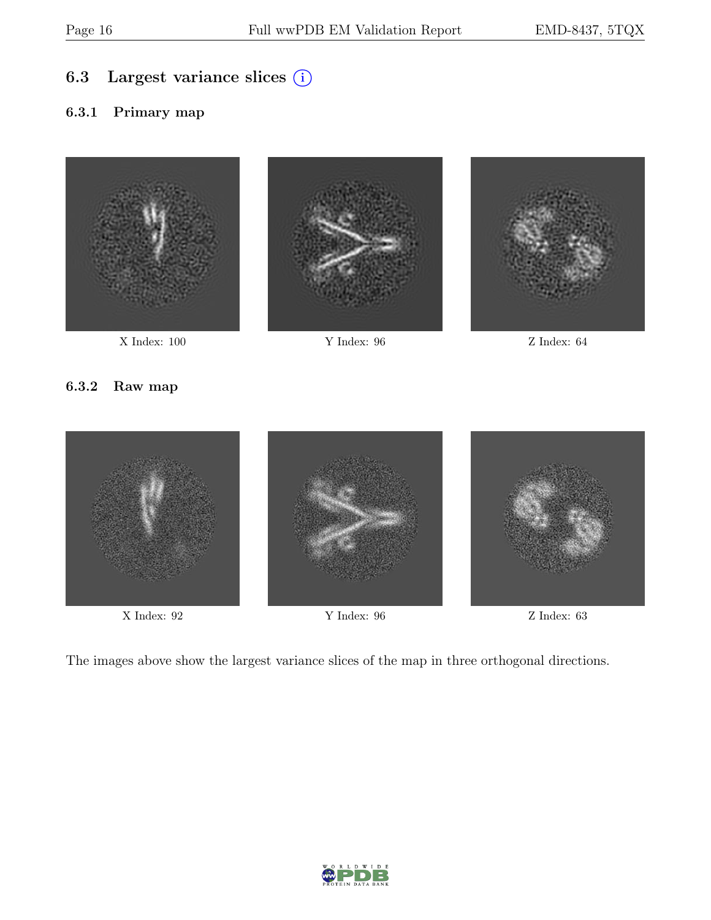### 6.3 Largest variance slices (i)

#### 6.3.1 Primary map







#### 6.3.2 Raw map



X Index: 92 Y Index: 96 Z Index: 63



The images above show the largest variance slices of the map in three orthogonal directions.

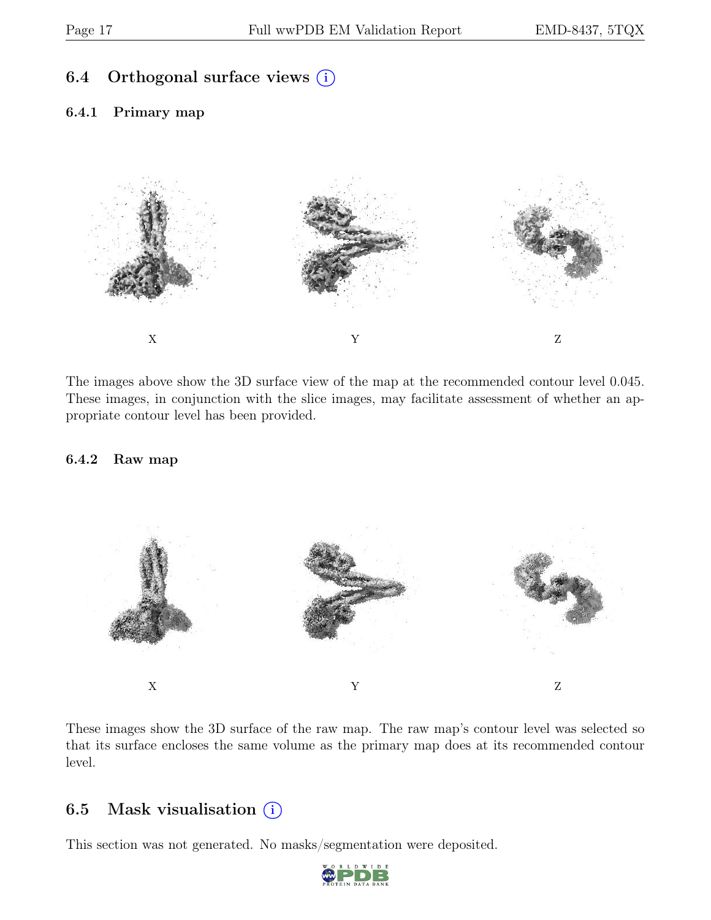### 6.4 Orthogonal surface views  $(i)$

#### 6.4.1 Primary map



The images above show the 3D surface view of the map at the recommended contour level 0.045. These images, in conjunction with the slice images, may facilitate assessment of whether an appropriate contour level has been provided.

#### 6.4.2 Raw map



These images show the 3D surface of the raw map. The raw map's contour level was selected so that its surface encloses the same volume as the primary map does at its recommended contour level.

#### 6.5 Mask visualisation  $(i)$

This section was not generated. No masks/segmentation were deposited.

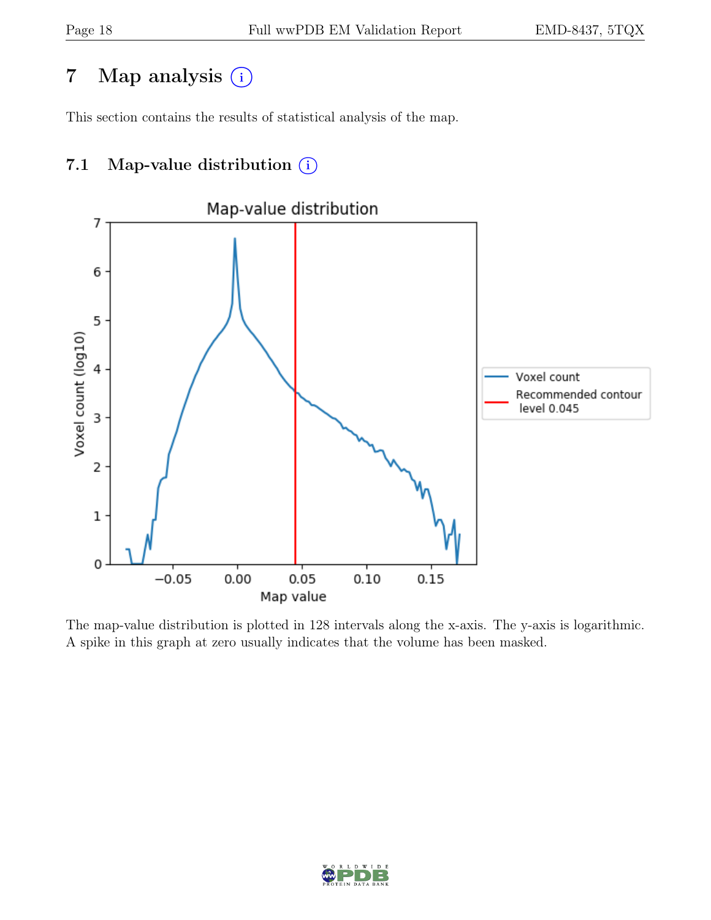# 7 Map analysis (i)

This section contains the results of statistical analysis of the map.

### 7.1 Map-value distribution  $(i)$



The map-value distribution is plotted in 128 intervals along the x-axis. The y-axis is logarithmic. A spike in this graph at zero usually indicates that the volume has been masked.

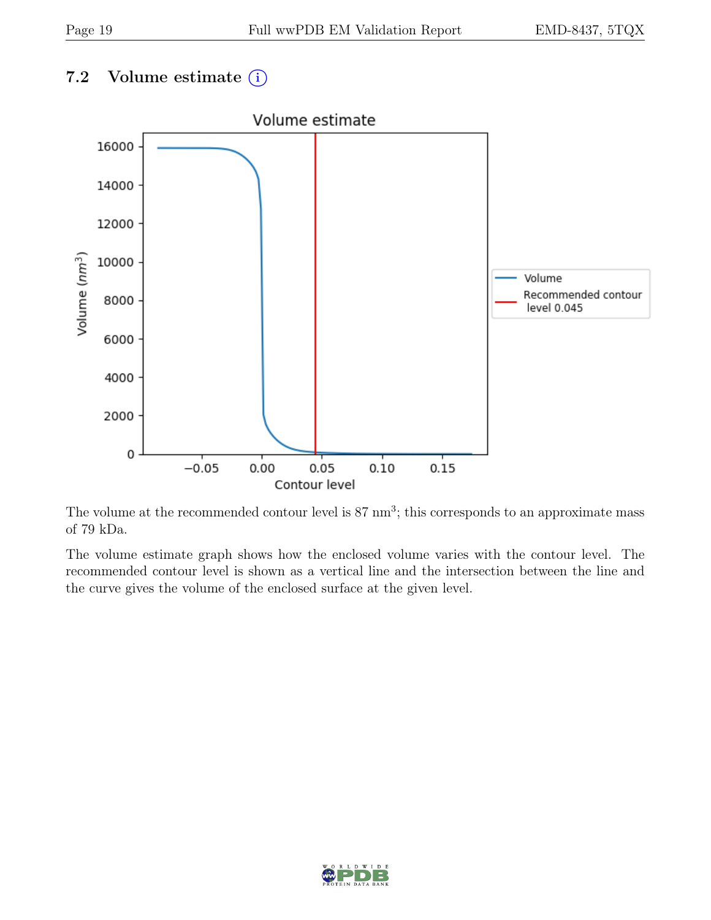### 7.2 Volume estimate  $(i)$



The volume at the recommended contour level is  $87 \text{ nm}^3$ ; this corresponds to an approximate mass of 79 kDa.

The volume estimate graph shows how the enclosed volume varies with the contour level. The recommended contour level is shown as a vertical line and the intersection between the line and the curve gives the volume of the enclosed surface at the given level.

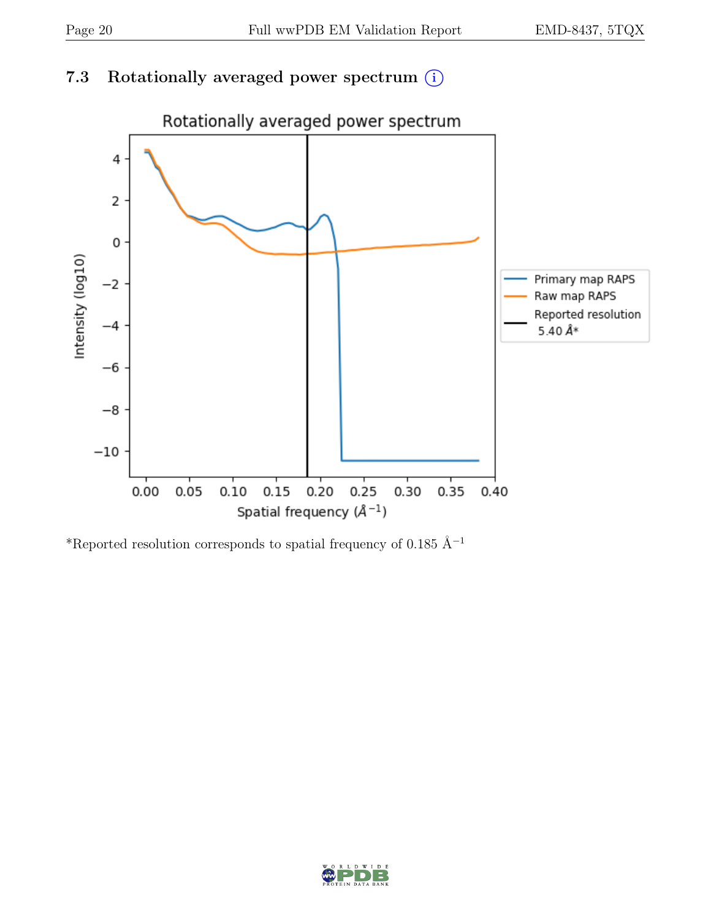### 7.3 Rotationally averaged power spectrum  $(i)$



\*Reported resolution corresponds to spatial frequency of 0.185 Å<sup>-1</sup>

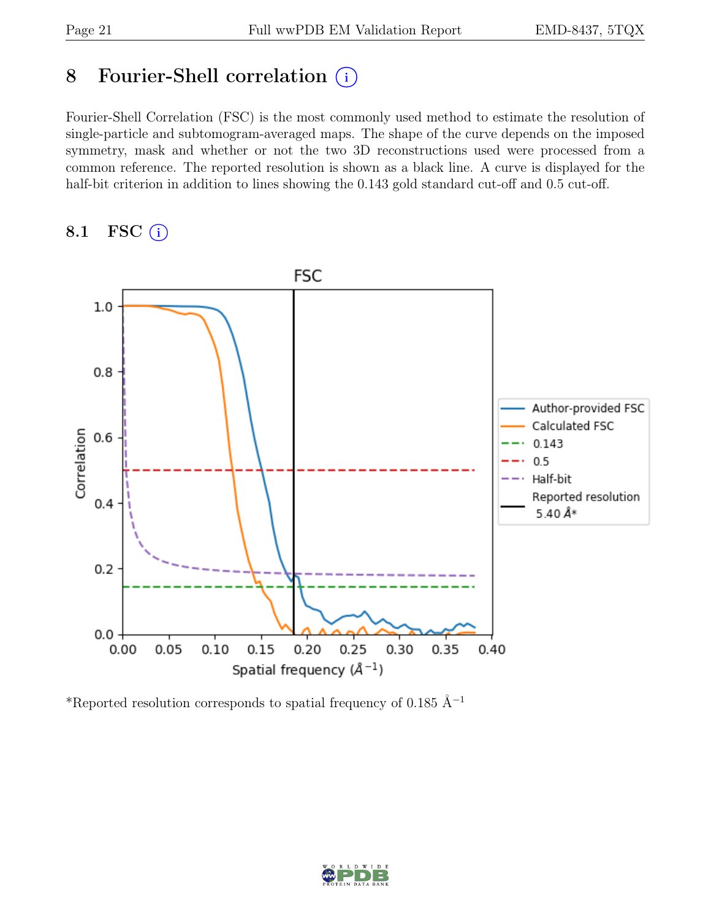# 8 Fourier-Shell correlation (i)

Fourier-Shell Correlation (FSC) is the most commonly used method to estimate the resolution of single-particle and subtomogram-averaged maps. The shape of the curve depends on the imposed symmetry, mask and whether or not the two 3D reconstructions used were processed from a common reference. The reported resolution is shown as a black line. A curve is displayed for the half-bit criterion in addition to lines showing the 0.143 gold standard cut-off and 0.5 cut-off.

#### 8.1 FSC  $(i)$



\*Reported resolution corresponds to spatial frequency of 0.185 Å<sup>-1</sup>

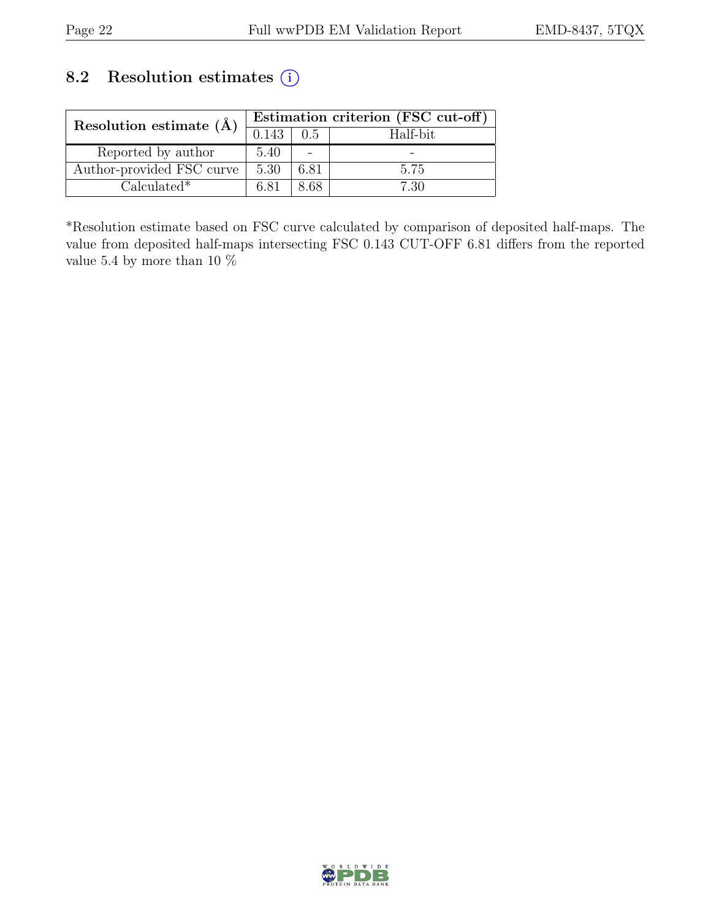### 8.2 Resolution estimates (i)

| Resolution estimate $(\AA)$ | Estimation criterion (FSC cut-off) |       |          |  |
|-----------------------------|------------------------------------|-------|----------|--|
|                             | 0.143                              | 0.5   | Half-bit |  |
| Reported by author          | 5.40                               |       |          |  |
| Author-provided FSC curve   | 5.30                               | 6.81  | 5.75     |  |
| $Calculated*$               | 6.81                               | 8 R.R | 7 30     |  |

\*Resolution estimate based on FSC curve calculated by comparison of deposited half-maps. The value from deposited half-maps intersecting FSC 0.143 CUT-OFF 6.81 differs from the reported value 5.4 by more than 10  $\%$ 

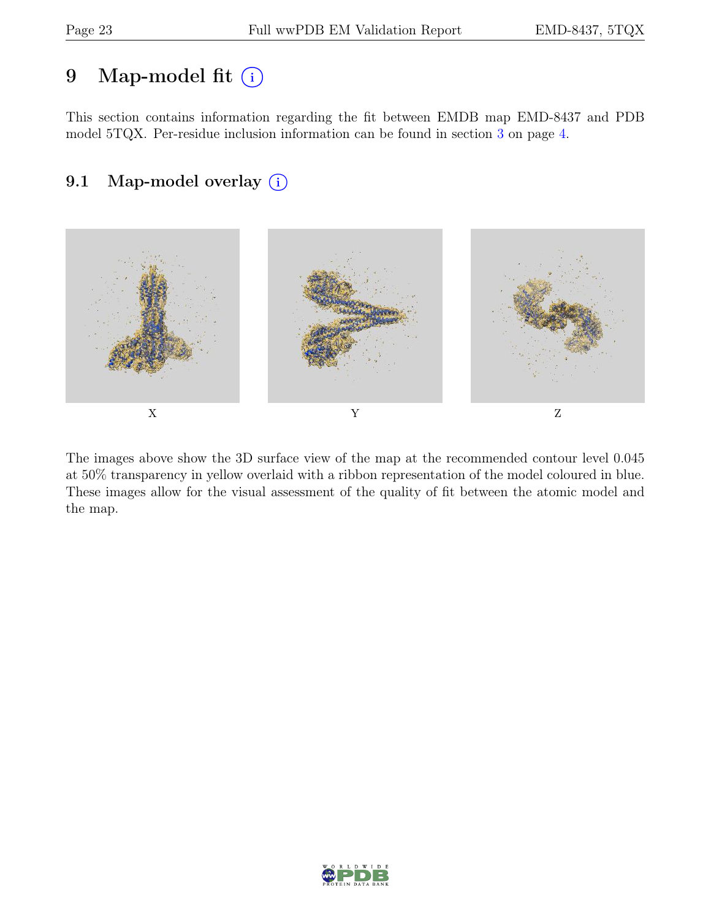# 9 Map-model fit  $(i)$

This section contains information regarding the fit between EMDB map EMD-8437 and PDB model 5TQX. Per-residue inclusion information can be found in section [3](#page-3-0) on page [4.](#page-3-0)

### 9.1 Map-model overlay (i)



The images above show the 3D surface view of the map at the recommended contour level 0.045 at 50% transparency in yellow overlaid with a ribbon representation of the model coloured in blue. These images allow for the visual assessment of the quality of fit between the atomic model and the map.